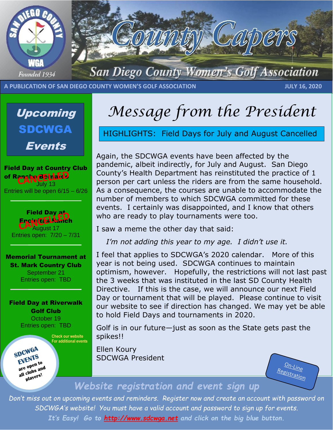



**A PUBLICATION OF SAN DIEGO COUNTY WOMEN'S GOLF ASSOCIATION JULY 16, 2020**

Upcoming SDCWGA Events

Field Day at Country Club Rancho Behrlardd July 13 Entries will be open 6/15 – 6/26

**Field Day at** Encinitas Ranch uaust 17 Entries open: 7/20 – 7/31

Memorial Tournament at St. Mark Country Club

September 21 Entries open: TBD

#### Field Day at Riverwalk Golf Club October 19 Entries open: TBD

 **Check our website For additional events**

SDCWGA EVENTS are open to<br>are open to are open to<br>all clubs and<br>all clubs players!

## *Message from the President*

HIGHLIGHTS: Field Days for July and August Cancelled

Again, the SDCWGA events have been affected by the pandemic, albeit indirectly, for July and August. San Diego County's Health Department has reinstituted the practice of 1 person per cart unless the riders are from the same household. As a consequence, the courses are unable to accommodate the number of members to which SDCWGA committed for these events. I certainly was disappointed, and I know that others who are ready to play tournaments were too.

I saw a meme the other day that said:

*I'm not adding this year to my age. I didn't use it.*

I feel that applies to SDCWGA's 2020 calendar. More of this year is not being used. SDCWGA continues to maintain optimism, however. Hopefully, the restrictions will not last past the 3 weeks that was instituted in the last SD County Health Directive. If this is the case, we will announce our next Field Day or tournament that will be played. Please continue to visit our website to see if direction has changed. We may yet be able to hold Field Days and tournaments in 2020.

Golf is in our future—just as soon as the State gets past the spikes!!

Ellen Koury SDCWGA President

 $Q_{n-Lip}$ Registration

### *Website registration and event sign up*

*Don't miss out on upcoming events and reminders. Register now and create an account with password on SDCWGA's website! You must have a valid account and password to sign up for events. It's Easy! Go to [http://www.sdcwga.net](http://www.sdcwga.net/) and click on the big blue button.*